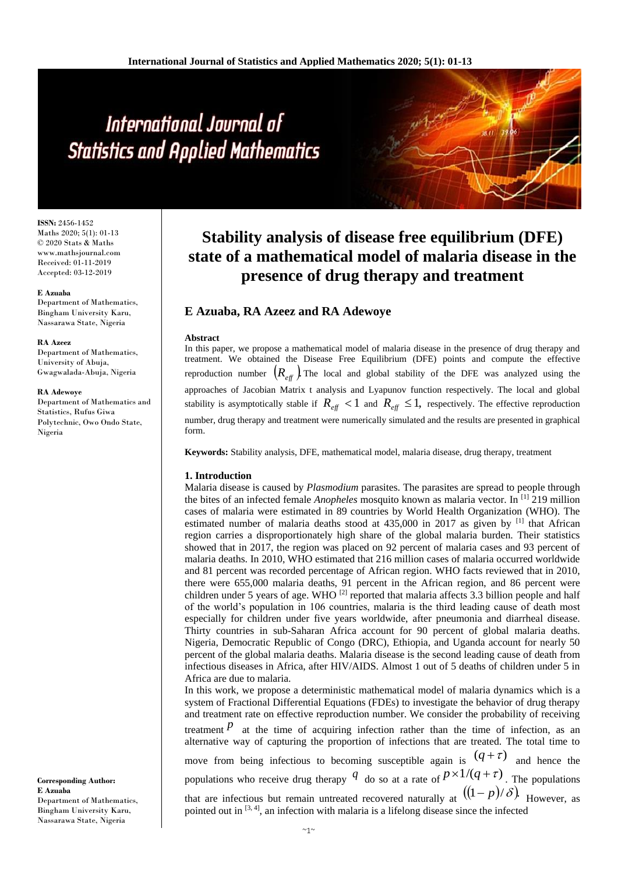# International Journal of **Statistics and Applied Mathematics**

**ISSN:** 2456-1452 Maths 2020; 5(1): 01-13 © 2020 Stats & Maths www.mathsjournal.com Received: 01-11-2019 Accepted: 03-12-2019

#### **E Azuaba**

Department of Mathematics, Bingham University Karu, Nassarawa State, Nigeria

#### **RA Azeez**

Department of Mathematics, University of Abuja, Gwagwalada-Abuja, Nigeria

#### **RA Adewoye**

Department of Mathematics and Statistics, Rufus Giwa Polytechnic, Owo Ondo State, Nigeria

**Corresponding Author: E Azuaba** Department of Mathematics, Bingham University Karu, Nassarawa State, Nigeria

# **Stability analysis of disease free equilibrium (DFE) state of a mathematical model of malaria disease in the presence of drug therapy and treatment**

# **E Azuaba, RA Azeez and RA Adewoye**

#### **Abstract**

In this paper, we propose a mathematical model of malaria disease in the presence of drug therapy and treatment. We obtained the Disease Free Equilibrium (DFE) points and compute the effective reproduction number  $(R_{\text{eff}}^{\phantom{\dag}})$  The local and global stability of the DFE was analyzed using the approaches of Jacobian Matrix t analysis and Lyapunov function respectively. The local and global stability is asymptotically stable if  $R_{\text{eff}} < 1$  and  $R_{\text{eff}} \leq 1$ , respectively. The effective reproduction number, drug therapy and treatment were numerically simulated and the results are presented in graphical form.

**Keywords:** Stability analysis, DFE, mathematical model, malaria disease, drug therapy, treatment

## **1. Introduction**

Malaria disease is caused by *Plasmodium* parasites. The parasites are spread to people through the bites of an infected female *Anopheles* mosquito known as malaria vector. In [1] 219 million cases of malaria were estimated in 89 countries by World Health Organization (WHO). The estimated number of malaria deaths stood at  $435,000$  in 2017 as given by  $^{[1]}$  that African region carries a disproportionately high share of the global malaria burden. Their statistics showed that in 2017, the region was placed on 92 percent of malaria cases and 93 percent of malaria deaths. In 2010, WHO estimated that 216 million cases of malaria occurred worldwide and 81 percent was recorded percentage of African region. WHO facts reviewed that in 2010, there were 655,000 malaria deaths, 91 percent in the African region, and 86 percent were children under 5 years of age. WHO <a>[2]</a> reported that malaria affects 3.3 billion people and half of the world's population in 106 countries, malaria is the third leading cause of death most especially for children under five years worldwide, after pneumonia and diarrheal disease. Thirty countries in sub-Saharan Africa account for 90 percent of global malaria deaths. Nigeria, Democratic Republic of Congo (DRC), Ethiopia, and Uganda account for nearly 50 percent of the global malaria deaths. Malaria disease is the second leading cause of death from infectious diseases in Africa, after HIV/AIDS. Almost 1 out of 5 deaths of children under 5 in Africa are due to malaria.

In this work, we propose a deterministic mathematical model of malaria dynamics which is a system of Fractional Differential Equations (FDEs) to investigate the behavior of drug therapy and treatment rate on effective reproduction number. We consider the probability of receiving treatment  *at the time of acquiring infection rather than the time of infection, as an* alternative way of capturing the proportion of infections that are treated. The total time to move from being infectious to becoming susceptible again is  $(q + \tau)$  and hence the populations who receive drug therapy  $q$  do so at a rate of  $p \times 1/(q+\tau)$ . The populations

that are infectious but remain untreated recovered naturally at  $((1-p)/\delta)$ . However, as pointed out in  $[3, 4]$ , an infection with malaria is a lifelong disease since the infected

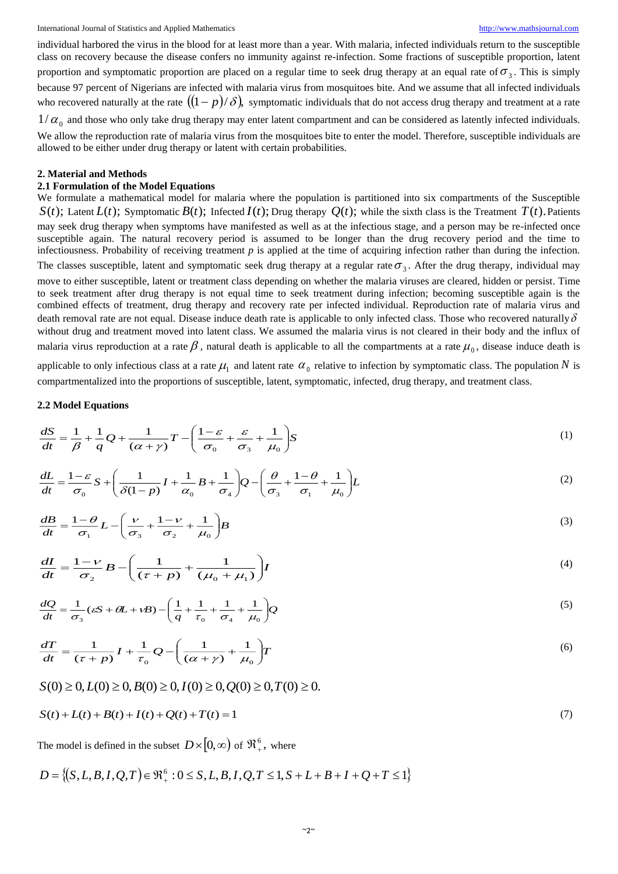individual harbored the virus in the blood for at least more than a year. With malaria, infected individuals return to the susceptible class on recovery because the disease confers no immunity against re-infection. Some fractions of susceptible proportion, latent proportion and symptomatic proportion are placed on a regular time to seek drug therapy at an equal rate of  $\sigma_3$ . This is simply because 97 percent of Nigerians are infected with malaria virus from mosquitoes bite. And we assume that all infected individuals who recovered naturally at the rate  $((1-p)/\delta)$ , symptomatic individuals that do not access drug therapy and treatment at a rate

 $1/\alpha_0$  and those who only take drug therapy may enter latent compartment and can be considered as latently infected individuals. We allow the reproduction rate of malaria virus from the mosquitoes bite to enter the model. Therefore, susceptible individuals are allowed to be either under drug therapy or latent with certain probabilities.

#### **2. Material and Methods**

# **2.1 Formulation of the Model Equations**

We formulate a mathematical model for malaria where the population is partitioned into six compartments of the Susceptible  $S(t)$ ; Latent  $L(t)$ ; Symptomatic  $B(t)$ ; Infected  $I(t)$ ; Drug therapy  $Q(t)$ ; while the sixth class is the Treatment  $T(t)$ . Patients may seek drug therapy when symptoms have manifested as well as at the infectious stage, and a person may be re-infected once susceptible again. The natural recovery period is assumed to be longer than the drug recovery period and the time to infectiousness. Probability of receiving treatment  $p$  is applied at the time of acquiring infection rather than during the infection. The classes susceptible, latent and symptomatic seek drug therapy at a regular rate  $\sigma_3$ . After the drug therapy, individual may move to either susceptible, latent or treatment class depending on whether the malaria viruses are cleared, hidden or persist. Time to seek treatment after drug therapy is not equal time to seek treatment during infection; becoming susceptible again is the combined effects of treatment, drug therapy and recovery rate per infected individual. Reproduction rate of malaria virus and death removal rate are not equal. Disease induce death rate is applicable to only infected class. Those who recovered naturally  $\delta$ without drug and treatment moved into latent class. We assumed the malaria virus is not cleared in their body and the influx of malaria virus reproduction at a rate  $\beta$ , natural death is applicable to all the compartments at a rate  $\mu_0$ , disease induce death is applicable to only infectious class at a rate  $\mu_1$  and latent rate  $\alpha_0$  relative to infection by symptomatic class. The population N is compartmentalized into the proportions of susceptible, latent, symptomatic, infected, drug therapy, and treatment class.

#### **2.2 Model Equations**

$$
\frac{dS}{dt} = \frac{1}{\beta} + \frac{1}{q}Q + \frac{1}{(\alpha + \gamma)}T - \left(\frac{1 - \varepsilon}{\sigma_0} + \frac{\varepsilon}{\sigma_3} + \frac{1}{\mu_0}\right)S\tag{1}
$$

$$
\frac{dL}{dt} = \frac{1-\varepsilon}{\sigma_0} S + \left(\frac{1}{\delta(1-p)}I + \frac{1}{\alpha_0}B + \frac{1}{\sigma_4}\right)Q - \left(\frac{\theta}{\sigma_3} + \frac{1-\theta}{\sigma_1} + \frac{1}{\mu_0}\right)L\tag{2}
$$

$$
\frac{dB}{dt} = \frac{1-\theta}{\sigma_1} L - \left(\frac{\nu}{\sigma_3} + \frac{1-\nu}{\sigma_2} + \frac{1}{\mu_0}\right) B \tag{3}
$$

$$
\frac{dI}{dt} = \frac{1-\nu}{\sigma_2}B - \left(\frac{1}{(\tau+p)} + \frac{1}{(\mu_0+\mu_1)}\right)I\tag{4}
$$

$$
\frac{dQ}{dt} = \frac{1}{\sigma_3} (\varepsilon S + \theta L + \nu B) - \left(\frac{1}{q} + \frac{1}{\tau_0} + \frac{1}{\sigma_4} + \frac{1}{\mu_0}\right) Q \tag{5}
$$

$$
\frac{dT}{dt} = \frac{1}{(\tau + p)} I + \frac{1}{\tau_0} Q - \left(\frac{1}{(\alpha + \gamma)} + \frac{1}{\mu_0}\right) T
$$
\n(6)

$$
S(0) \ge 0, L(0) \ge 0, B(0) \ge 0, I(0) \ge 0, Q(0) \ge 0, T(0) \ge 0.
$$

$$
S(t) + L(t) + B(t) + I(t) + Q(t) + T(t) = 1
$$
\n(7)

The model is defined in the subset  $D\times\left[0,\infty\right)$  of  $\mathfrak{R}^{\,6}_+$ , where

$$
D = \{(S, L, B, I, Q, T) \in \mathfrak{R}_{+}^{6} : 0 \leq S, L, B, I, Q, T \leq 1, S + L + B + I + Q + T \leq 1\}
$$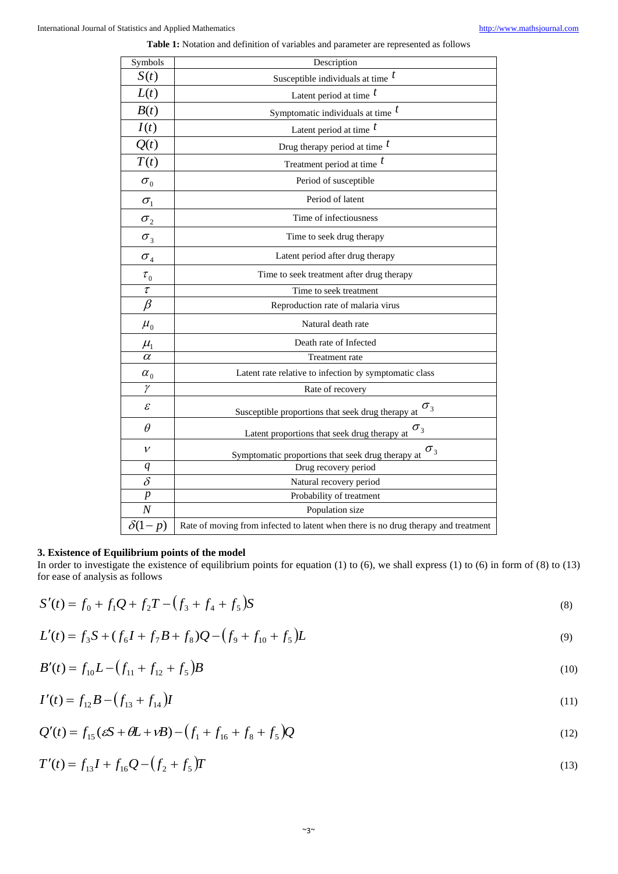| Symbols                         | Description                                                                        |
|---------------------------------|------------------------------------------------------------------------------------|
| S(t)                            | Susceptible individuals at time $t$                                                |
| L(t)                            | Latent period at time $t$                                                          |
| B(t)                            | Symptomatic individuals at time $t$                                                |
| I(t)                            | Latent period at time $t$                                                          |
| Q(t)                            | Drug therapy period at time $t$                                                    |
| T(t)                            | Treatment period at time $t$                                                       |
| $\sigma_{0}$                    | Period of susceptible                                                              |
| $\sigma_{\text{\tiny{l}}}$      | Period of latent                                                                   |
| $\sigma_{2}$                    | Time of infectiousness                                                             |
| $\sigma_{\scriptscriptstyle 3}$ | Time to seek drug therapy                                                          |
| $\sigma_{\scriptscriptstyle 4}$ | Latent period after drug therapy                                                   |
| $\tau_{0}$                      | Time to seek treatment after drug therapy                                          |
| $\tau$                          | Time to seek treatment                                                             |
| $\beta$                         | Reproduction rate of malaria virus                                                 |
| $\mu_{0}$                       | Natural death rate                                                                 |
| $\mu_{\text{\tiny{l}}}$         | Death rate of Infected                                                             |
| $\overline{\alpha}$             | Treatment rate                                                                     |
| $\alpha_{0}$                    | Latent rate relative to infection by symptomatic class                             |
| $\gamma$                        | Rate of recovery                                                                   |
| $\mathcal E$                    | $\sigma_{3}$<br>Susceptible proportions that seek drug therapy at                  |
| $\theta$                        | $\sigma_{_3}$<br>Latent proportions that seek drug therapy at                      |
| $\mathcal{V}$                   | $\sigma_{3}$<br>Symptomatic proportions that seek drug therapy at                  |
| q                               | Drug recovery period                                                               |
| $\overline{\delta}$             | Natural recovery period                                                            |
| $\boldsymbol{p}$                | Probability of treatment                                                           |
| $\overline{N}$                  | Population size                                                                    |
| $\delta(1-p)$                   | Rate of moving from infected to latent when there is no drug therapy and treatment |
|                                 |                                                                                    |

#### **3. Existence of Equilibrium points of the model**

In order to investigate the existence of equilibrium points for equation (1) to (6), we shall express (1) to (6) in form of (8) to (13) for ease of analysis as follows

$$
S'(t) = f_0 + f_1 Q + f_2 T - (f_3 + f_4 + f_5) S
$$
\n(8)

$$
L'(t) = f_3 S + (f_6 I + f_7 B + f_8) Q - (f_9 + f_{10} + f_5) L
$$
\n(9)

$$
B'(t) = f_{10}L - (f_{11} + f_{12} + f_5)B
$$
\n(10)

$$
I'(t) = f_{12}B - (f_{13} + f_{14})I
$$
\n(11)

$$
Q'(t) = f_{15}(\varepsilon S + \theta L + \nu B) - (f_1 + f_{16} + f_8 + f_5)Q
$$
\n(12)

$$
T'(t) = f_{13}I + f_{16}Q - (f_2 + f_5)T
$$
\n(13)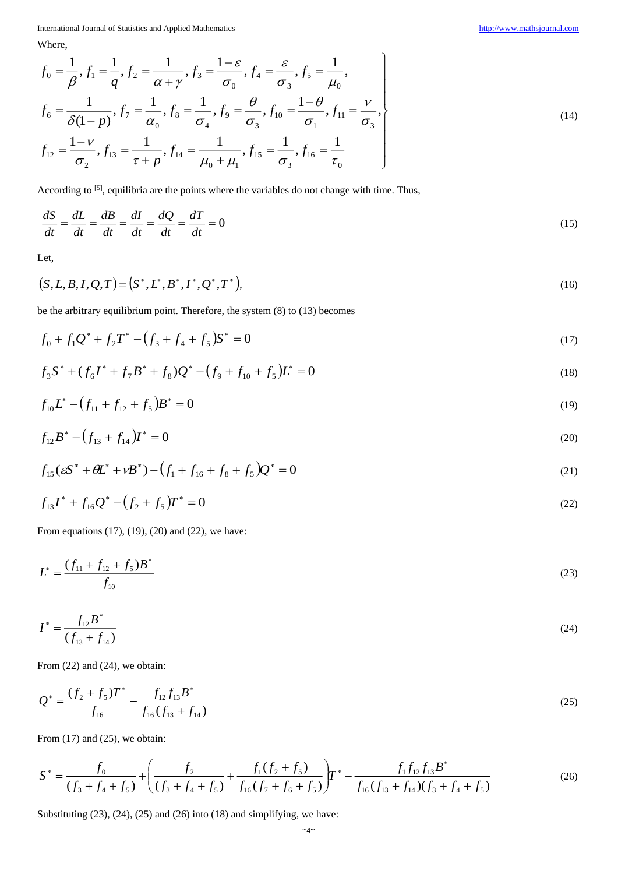Where,

$$
f_0 = \frac{1}{\beta}, f_1 = \frac{1}{q}, f_2 = \frac{1}{\alpha + \gamma}, f_3 = \frac{1 - \varepsilon}{\sigma_0}, f_4 = \frac{\varepsilon}{\sigma_3}, f_5 = \frac{1}{\mu_0},
$$
  
\n
$$
f_6 = \frac{1}{\delta(1 - p)}, f_7 = \frac{1}{\alpha_0}, f_8 = \frac{1}{\sigma_4}, f_9 = \frac{\theta}{\sigma_3}, f_{10} = \frac{1 - \theta}{\sigma_1}, f_{11} = \frac{\nu}{\sigma_3},
$$
  
\n
$$
f_{12} = \frac{1 - \nu}{\sigma_2}, f_{13} = \frac{1}{\tau + p}, f_{14} = \frac{1}{\mu_0 + \mu_1}, f_{15} = \frac{1}{\sigma_3}, f_{16} = \frac{1}{\tau_0}
$$
\n(14)

According to <sup>[5]</sup>, equilibria are the points where the variables do not change with time. Thus,

$$
\frac{dS}{dt} = \frac{dL}{dt} = \frac{dB}{dt} = \frac{dI}{dt} = \frac{dQ}{dt} = \frac{dT}{dt} = 0
$$
\n(15)

Let,

$$
(S, L, B, I, Q, T) = (S^*, L^*, B^*, I^*, Q^*, T^*),
$$
\n(16)

be the arbitrary equilibrium point. Therefore, the system (8) to (13) becomes

$$
f_0 + f_1 Q^* + f_2 T^* - (f_3 + f_4 + f_5) S^* = 0
$$
\n(17)

$$
f_3 S^* + (f_6 I^* + f_7 B^* + f_8) Q^* - (f_9 + f_{10} + f_5) L^* = 0
$$
\n(18)

$$
f_{10}L^* - (f_{11} + f_{12} + f_5)B^* = 0
$$
\n(19)

$$
f_{12}B^* - (f_{13} + f_{14})I^* = 0
$$
\n(20)

$$
f_{15}(\varepsilon S^* + \theta L^* + \nu B^*) - (f_1 + f_{16} + f_8 + f_5)Q^* = 0
$$
\n(21)

$$
f_{13}I^* + f_{16}Q^* - (f_2 + f_5)T^* = 0
$$
\n(22)

From equations (17), (19), (20) and (22), we have:

$$
L^* = \frac{(f_{11} + f_{12} + f_5)B^*}{f_{10}}
$$
\n(23)

$$
I^* = \frac{f_{12}B^*}{(f_{13} + f_{14})}
$$
 (24)

From  $(22)$  and  $(24)$ , we obtain:

$$
Q^* = \frac{(f_2 + f_5)T^*}{f_{16}} - \frac{f_{12}f_{13}B^*}{f_{16}(f_{13} + f_{14})}
$$
\n(25)

From  $(17)$  and  $(25)$ , we obtain:

$$
S^* = \frac{f_0}{(f_3 + f_4 + f_5)} + \left(\frac{f_2}{(f_3 + f_4 + f_5)} + \frac{f_1(f_2 + f_5)}{f_{16}(f_7 + f_6 + f_5)}\right)T^* - \frac{f_1f_{12}f_{13}B^*}{f_{16}(f_{13} + f_{14})(f_3 + f_4 + f_5)}
$$
(26)

Substituting (23), (24), (25) and (26) into (18) and simplifying, we have: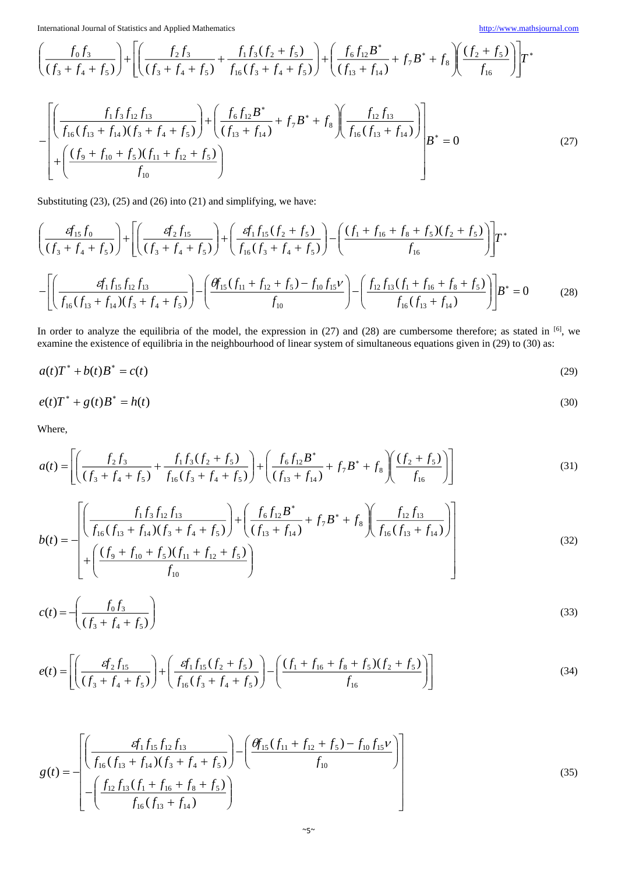$$
\left(\frac{f_0f_3}{(f_3+f_4+f_5)}\right) + \left[ \left(\frac{f_2f_3}{(f_3+f_4+f_5)} + \frac{f_1f_3(f_2+f_5)}{f_{16}(f_3+f_4+f_5)}\right) + \left(\frac{f_6f_{12}B^*}{(f_{13}+f_{14})} + f_7B^* + f_8\right) \left(\frac{(f_2+f_5)}{f_{16}}\right) \right]T^*
$$

$$
-\left[\left(\frac{f_1f_3f_{12}f_{13}}{f_{16}(f_{13}+f_{14})(f_3+f_4+f_5)}\right) + \left(\frac{f_6f_{12}B^*}{(f_{13}+f_{14})}+f_7B^*+f_8\right)\left(\frac{f_{12}f_{13}}{f_{16}(f_{13}+f_{14})}\right)\right]B^* = 0
$$
\n(27)

Substituting (23), (25) and (26) into (21) and simplifying, we have:

$$
\left(\frac{g_{15}f_0}{(f_3 + f_4 + f_5)}\right) + \left[\left(\frac{g_2f_{15}}{(f_3 + f_4 + f_5)}\right) + \left(\frac{g_1f_{15}(f_2 + f_5)}{f_{16}(f_3 + f_4 + f_5)}\right) - \left(\frac{(f_1 + f_{16} + f_8 + f_5)(f_2 + f_5)}{f_{16}}\right)\right]T^*
$$
\n
$$
-\left[\left(\frac{g_1f_{15}f_{12}f_{13}}{f_{16}(f_{13} + f_{14})(f_3 + f_4 + f_5)}\right) - \left(\frac{\theta f_{15}(f_{11} + f_{12} + f_5) - f_{10}f_{15}V}{f_{10}}\right) - \left(\frac{f_{12}f_{13}(f_1 + f_{16} + f_8 + f_5)}{f_{16}(f_{13} + f_{14})}\right)\right]B^* = 0 \tag{28}
$$

In order to analyze the equilibria of the model, the expression in  $(27)$  and  $(28)$  are cumbersome therefore; as stated in [6], we examine the existence of equilibria in the neighbourhood of linear system of simultaneous equations given in (29) to (30) as:

$$
a(t)T^* + b(t)B^* = c(t) \tag{29}
$$

$$
e(t)T^* + g(t)B^* = h(t) \tag{30}
$$

Where,

$$
a(t) = \left[ \left( \frac{f_2 f_3}{(f_3 + f_4 + f_5)} + \frac{f_1 f_3 (f_2 + f_5)}{f_{16} (f_3 + f_4 + f_5)} \right) + \left( \frac{f_6 f_{12} B^*}{(f_{13} + f_{14})} + f_7 B^* + f_8 \right) \left( \frac{(f_2 + f_5)}{f_{16}} \right) \right]
$$
(31)

$$
b(t) = -\left[\left(\frac{f_1 f_3 f_{12} f_{13}}{f_{16} (f_{13} + f_{14}) (f_3 + f_4 + f_5)}\right) + \left(\frac{f_6 f_{12} B^*}{(f_{13} + f_{14})} + f_7 B^* + f_8\right) \left(\frac{f_{12} f_{13}}{f_{16} (f_{13} + f_{14})}\right) + \left(\frac{(f_9 + f_{10} + f_5) (f_{11} + f_{12} + f_5)}{f_{10}}\right)\right]
$$
(32)

$$
c(t) = -\left(\frac{f_0 f_3}{(f_3 + f_4 + f_5)}\right)
$$
\n(33)

$$
e(t) = \left[ \left( \frac{g f_2 f_{15}}{(f_3 + f_4 + f_5)} \right) + \left( \frac{g f_1 f_{15} (f_2 + f_5)}{f_{16} (f_3 + f_4 + f_5)} \right) - \left( \frac{(f_1 + f_{16} + f_8 + f_5)(f_2 + f_5)}{f_{16}} \right) \right]
$$
(34)

$$
g(t) = -\left[\frac{f_{1}f_{15}f_{12}f_{13}}{f_{16}(f_{13} + f_{14})(f_{3} + f_{4} + f_{5})}\right) - \left(\frac{\theta f_{15}(f_{11} + f_{12} + f_{5}) - f_{10}f_{15}\nu}{f_{10}}\right)\right]
$$
(35)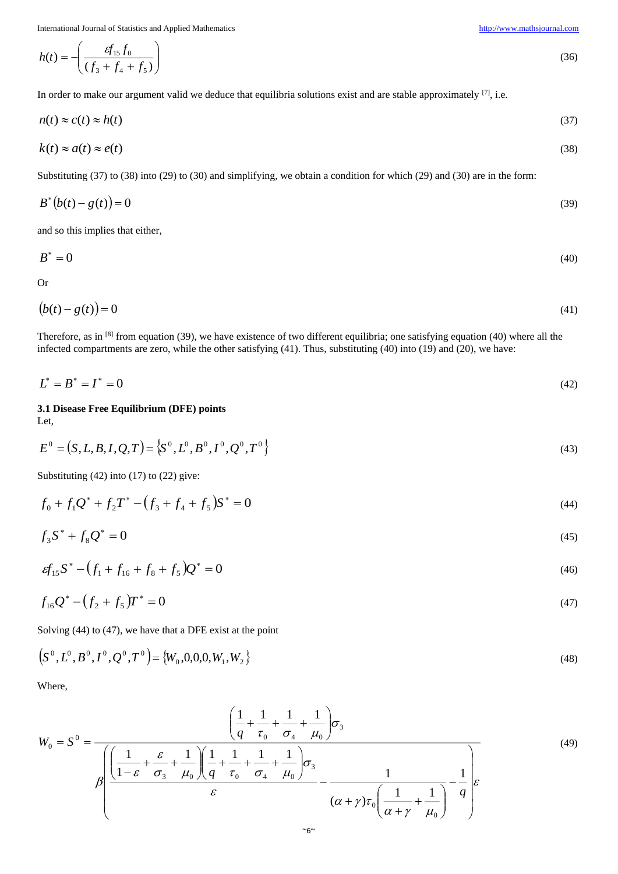$$
h(t) = -\left(\frac{g_{15}f_0}{(f_3 + f_4 + f_5)}\right) \tag{36}
$$

In order to make our argument valid we deduce that equilibria solutions exist and are stable approximately [7], i.e.

$$
n(t) \approx c(t) \approx h(t) \tag{37}
$$

$$
k(t) \approx a(t) \approx e(t) \tag{38}
$$

Substituting (37) to (38) into (29) to (30) and simplifying, we obtain a condition for which (29) and (30) are in the form:

$$
B^*(b(t) - g(t)) = 0 \tag{39}
$$

and so this implies that either,

$$
B^* = 0 \tag{40}
$$

Or

$$
(b(t) - g(t)) = 0 \tag{41}
$$

Therefore, as in  $[8]$  from equation (39), we have existence of two different equilibria; one satisfying equation (40) where all the infected compartments are zero, while the other satisfying (41). Thus, substituting (40) into (19) and (20), we have:

$$
L^* = B^* = I^* = 0 \tag{42}
$$

**3.1 Disease Free Equilibrium (DFE) points** Let,

$$
E^{0} = (S, L, B, I, Q, T) = \{S^{0}, L^{0}, B^{0}, I^{0}, Q^{0}, T^{0}\}
$$
\n(43)

Substituting (42) into (17) to (22) give:

$$
f_0 + f_1 Q^* + f_2 T^* - (f_3 + f_4 + f_5) S^* = 0
$$
\n(44)

$$
f_3 S^* + f_8 Q^* = 0 \tag{45}
$$

$$
\varepsilon f_{15} S^* - (f_1 + f_{16} + f_8 + f_5) Q^* = 0 \tag{46}
$$

$$
f_{16}Q^* - (f_2 + f_5)T^* = 0 \tag{47}
$$

Solving (44) to (47), we have that a DFE exist at the point

$$
\left(S^0, L^0, B^0, I^0, Q^0, T^0\right) = \left\{W_0, 0, 0, 0, W_1, W_2\right\}
$$
\n(48)

Where,

$$
W_0 = S^0 = \frac{\left(\frac{1}{q} + \frac{1}{\tau_0} + \frac{1}{\sigma_4} + \frac{1}{\mu_0}\right)\sigma_3}{\beta\left(\frac{1}{1-\varepsilon} + \frac{\varepsilon}{\sigma_3} + \frac{1}{\mu_0}\right)\left(\frac{1}{q} + \frac{1}{\tau_0} + \frac{1}{\sigma_4} + \frac{1}{\mu_0}\right)\sigma_3} - \frac{1}{(\alpha + \gamma)\tau_0\left(\frac{1}{\alpha + \gamma} + \frac{1}{\mu_0}\right)} - \frac{1}{q}\varepsilon
$$
\n(49)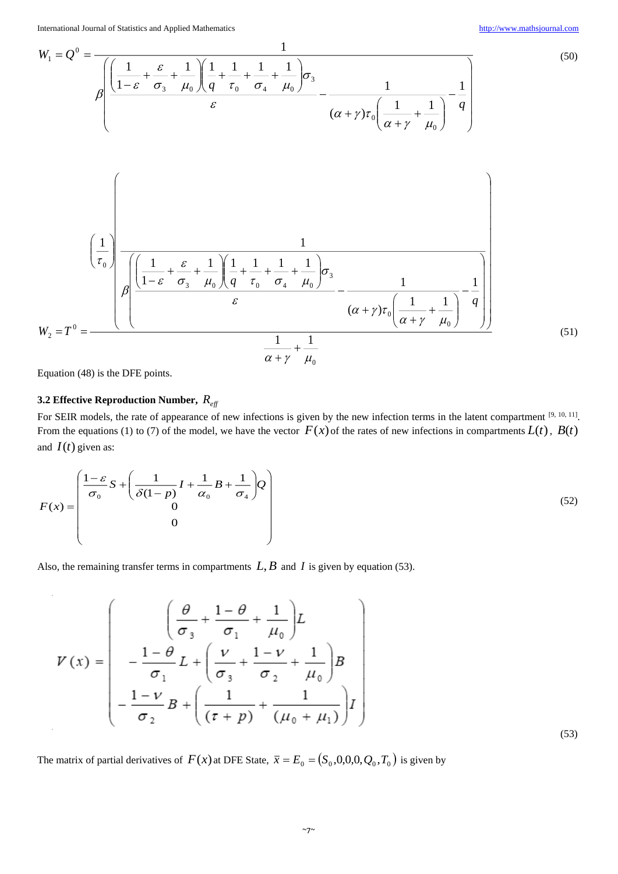(53)

$$
W_{1} = Q^{0} = \frac{1}{\beta \left( \frac{1}{1-\varepsilon} + \frac{\varepsilon}{\sigma_{3}} + \frac{1}{\mu_{0}} \right) \left( \frac{1}{q} + \frac{1}{\tau_{0}} + \frac{1}{\sigma_{4}} + \frac{1}{\mu_{0}} \right) \sigma_{3}} - \frac{1}{(\alpha + \gamma)\tau_{0} \left( \frac{1}{\alpha + \gamma} + \frac{1}{\mu_{0}} \right)} - \frac{1}{q} \right)}
$$
(50)  

$$
\left( \frac{1}{\tau_{0}} \right)
$$

$$
W_{2} = T^{0} = \frac{\left( \frac{1}{\tau_{0}} \right) \left( \frac{1}{\sigma_{0}} + \frac{\varepsilon}{\sigma_{3}} + \frac{1}{\mu_{0}} \right) \left( \frac{1}{q} + \frac{1}{\tau_{0}} + \frac{1}{\sigma_{4}} + \frac{1}{\mu_{0}} \right) \sigma_{3}}{\varepsilon} - \frac{1}{(\alpha + \gamma)\tau_{0} \left( \frac{1}{\alpha + \gamma} + \frac{1}{\mu_{0}} \right)} - \frac{1}{q} \right)}
$$
(51)

Equation (48) is the DFE points.

 $\overline{\phantom{a}}$ 

# **3.2 Effective Reproduction Number,**  *<sup>R</sup>eff*

For SEIR models, the rate of appearance of new infections is given by the new infection terms in the latent compartment  $[9, 10, 11]$ . From the equations (1) to (7) of the model, we have the vector  $F(x)$  of the rates of new infections in compartments  $L(t)$ ,  $B(t)$ and  $I(t)$  given as:

$$
F(x) = \begin{pmatrix} \frac{1-\varepsilon}{\sigma_0} S + \left(\frac{1}{\delta(1-p)} I + \frac{1}{\alpha_0} B + \frac{1}{\sigma_4}\right) Q \\ 0 \\ 0 \end{pmatrix}
$$
(52)

Also, the remaining transfer terms in compartments  $L, B$  and  $I$  is given by equation (53).

$$
V(x) = \begin{pmatrix} \frac{\theta}{\sigma_{3}} + \frac{1-\theta}{\sigma_{1}} + \frac{1}{\mu_{0}} \end{pmatrix} L \\ - \frac{1-\theta}{\sigma_{1}} L + \left( \frac{\nu}{\sigma_{3}} + \frac{1-\nu}{\sigma_{2}} + \frac{1}{\mu_{0}} \right) B \\ - \frac{1-\nu}{\sigma_{2}} B + \left( \frac{1}{(\tau + p)} + \frac{1}{(\mu_{0} + \mu_{1})} \right) I \end{pmatrix}
$$

The matrix of partial derivatives of  $F(x)$  at DFE State,  $\bar{x} = E_0 = (S_0, 0, 0, 0, Q_0, T_0)$  is given by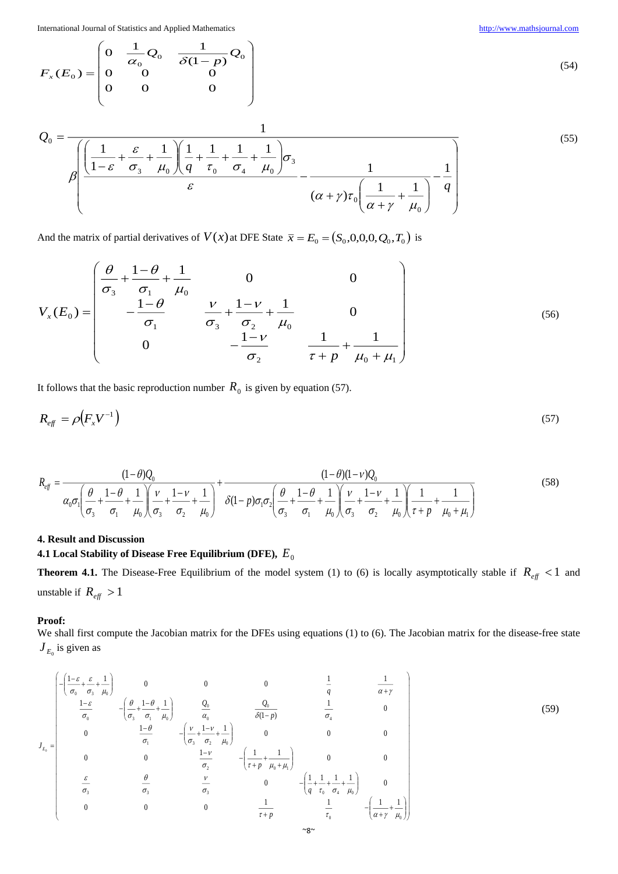$=\begin{vmatrix} 0 & \alpha_0 & \alpha_0 \\ 0 & 0 & \alpha_0 \end{vmatrix}$ 

 $0 \quad \frac{1}{-0}$   $\frac{1}{-0}$ 

 $\alpha_{\circ}$   $\sim$   $\delta$ 

0 0 0 0 0 0

L L L L I

 $(E_{\scriptscriptstyle \Omega})$ 

*F<sup>x</sup> E*

0

ſ

$$
(54)
$$

(55)

$$
Q_0 = \frac{1}{\beta \left( \frac{1}{1-\varepsilon} + \frac{\varepsilon}{\sigma_3} + \frac{1}{\mu_0} \right) \left( \frac{1}{q} + \frac{1}{\tau_0} + \frac{1}{\sigma_4} + \frac{1}{\mu_0} \right) \sigma_3}{\varepsilon} - \frac{1}{(\alpha + \gamma)\tau_0 \left( \frac{1}{\alpha + \gamma} + \frac{1}{\mu_0} \right)} - \frac{1}{q}
$$

l

|

◝

 $(1 - p)$ 

 $\delta(1-p)^{1/20}$ 

 $Q_0$   $\frac{1}{\delta(1-p)}Q$ 

And the matrix of partial derivatives of  $V(x)$  at DFE State  $\bar{x} = E_0 = (S_0, 0, 0, 0, Q_0, T_0)$  is

$$
V_x(E_0) = \begin{pmatrix} \frac{\theta}{\sigma_3} + \frac{1-\theta}{\sigma_1} + \frac{1}{\mu_0} & 0 & 0 \\ -\frac{1-\theta}{\sigma_1} & \frac{\nu}{\sigma_3} + \frac{1-\nu}{\sigma_2} + \frac{1}{\mu_0} & 0 \\ 0 & -\frac{1-\nu}{\sigma_2} & \frac{1}{\tau + p} + \frac{1}{\mu_0 + \mu_1} \end{pmatrix}
$$
(56)

It follows that the basic reproduction number  $R_0$  is given by equation (57).

$$
R_{\text{eff}} = \rho \left( F_x V^{-1} \right) \tag{57}
$$

$$
R_{\text{eff}} = \frac{(1-\theta)Q_0}{\alpha_0 \sigma_1 \left(\frac{\theta}{\sigma_3} + \frac{1-\theta}{\sigma_1} + \frac{1}{\mu_0}\right)\left(\frac{v}{\sigma_3} + \frac{1-v}{\sigma_2} + \frac{1}{\mu_0}\right)} + \frac{(1-\theta)(1-v)Q_0}{\delta(1-p)\sigma_1 \sigma_2 \left(\frac{\theta}{\sigma_3} + \frac{1-\theta}{\sigma_1} + \frac{1}{\mu_0}\right)\left(\frac{v}{\sigma_3} + \frac{1-v}{\sigma_2} + \frac{1}{\mu_0}\right)\left(\frac{1}{\tau+p} + \frac{1}{\mu_0+\mu_1}\right)}
$$
(58)

# **4. Result and Discussion**

# **4.1 Local Stability of Disease Free Equilibrium (DFE),**  *E*0

**Theorem 4.1.** The Disease-Free Equilibrium of the model system (1) to (6) is locally asymptotically stable if  $R_{eff} < 1$  and unstable if  $R_{\text{eff}} > 1$ 

# **Proof:**

We shall first compute the Jacobian matrix for the DFEs using equations (1) to (6). The Jacobian matrix for the disease-free state  $J_{E_0}$  is given as

$$
J_{E_0} = \begin{bmatrix} -\left(\frac{1-\varepsilon}{\sigma_0} + \frac{\varepsilon}{\sigma_3} + \frac{1}{\mu_0}\right) & 0 & 0 & 0 & \frac{1}{q} & \frac{1}{\alpha + \gamma} \\ \frac{1-\varepsilon}{\sigma_0} & -\left(\frac{\theta}{\sigma_3} + \frac{1-\theta}{\sigma_1} + \frac{1}{\mu_0}\right) & \frac{Q_0}{\alpha_0} & \frac{Q_0}{\delta(1-p)} & \frac{1}{\sigma_4} & 0 \\ 0 & \frac{1-\theta}{\sigma_1} & -\left(\frac{\nu}{\sigma_3} + \frac{1-\nu}{\sigma_2} + \frac{1}{\mu_0}\right) & 0 & 0 & 0 \\ 0 & 0 & \frac{1-\nu}{\sigma_2} & -\left(\frac{1}{\tau + p} + \frac{1}{\mu_0 + \mu_1}\right) & 0 & 0 \\ \frac{\varepsilon}{\sigma_3} & \frac{\theta}{\sigma_3} & \frac{\nu}{\sigma_3} & 0 & -\left(\frac{1}{q} + \frac{1}{\tau_0} + \frac{1}{\sigma_4} + \frac{1}{\tau_0}\right) & 0 \\ 0 & 0 & 0 & \frac{1}{\tau + p} & \frac{1}{\tau_0} & -\left(\frac{1}{\alpha + \gamma} + \frac{1}{\mu_0}\right) \end{bmatrix} \tag{59}
$$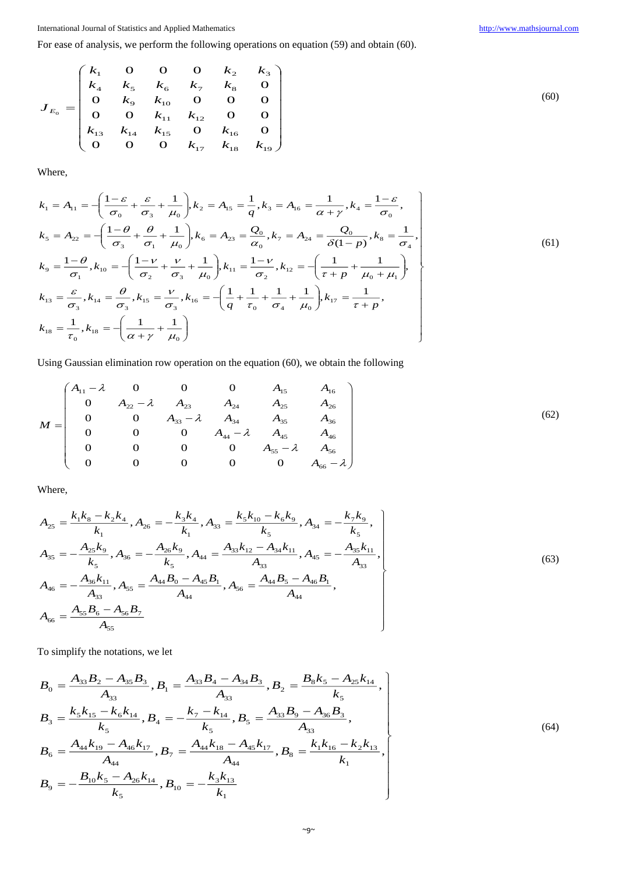For ease of analysis, we perform the following operations on equation (59) and obtain (60).

$$
J_{E_0} = \begin{pmatrix} k_1 & 0 & 0 & 0 & k_2 & k_3 \\ k_4 & k_5 & k_6 & k_7 & k_8 & 0 \\ 0 & k_9 & k_{10} & 0 & 0 & 0 \\ 0 & 0 & k_{11} & k_{12} & 0 & 0 \\ k_{13} & k_{14} & k_{15} & 0 & k_{16} & 0 \\ 0 & 0 & 0 & k_{17} & k_{18} & k_{19} \end{pmatrix}
$$

Where,

$$
k_1 = A_{11} = -\left(\frac{1-\varepsilon}{\sigma_0} + \frac{\varepsilon}{\sigma_3} + \frac{1}{\mu_0}\right), k_2 = A_{15} = \frac{1}{q}, k_3 = A_{16} = \frac{1}{\alpha + \gamma}, k_4 = \frac{1-\varepsilon}{\sigma_0},
$$
  
\n
$$
k_5 = A_{22} = -\left(\frac{1-\theta}{\sigma_3} + \frac{\theta}{\sigma_1} + \frac{1}{\mu_0}\right), k_6 = A_{23} = \frac{Q_0}{\alpha_0}, k_7 = A_{24} = \frac{Q_0}{\delta(1-p)}, k_8 = \frac{1}{\sigma_4},
$$
  
\n
$$
k_9 = \frac{1-\theta}{\sigma_1}, k_{10} = -\left(\frac{1-\nu}{\sigma_2} + \frac{\nu}{\sigma_3} + \frac{1}{\mu_0}\right), k_{11} = \frac{1-\nu}{\sigma_2}, k_{12} = -\left(\frac{1}{\tau + p} + \frac{1}{\mu_0 + \mu_1}\right),
$$
  
\n
$$
k_{13} = \frac{\varepsilon}{\sigma_3}, k_{14} = \frac{\theta}{\sigma_3}, k_{15} = \frac{\nu}{\sigma_3}, k_{16} = -\left(\frac{1}{q} + \frac{1}{\tau_0} + \frac{1}{\sigma_4} + \frac{1}{\mu_0}\right), k_{17} = \frac{1}{\tau + p},
$$
  
\n
$$
k_{18} = \frac{1}{\tau_0}, k_{18} = -\left(\frac{1}{\alpha + \gamma} + \frac{1}{\mu_0}\right)
$$
 (61)

Using Gaussian elimination row operation on the equation (60), we obtain the following

$$
M = \begin{pmatrix} A_{11} - \lambda & 0 & 0 & 0 & A_{15} & A_{16} \\ 0 & A_{22} - \lambda & A_{23} & A_{24} & A_{25} & A_{26} \\ 0 & 0 & A_{33} - \lambda & A_{34} & A_{35} & A_{36} \\ 0 & 0 & 0 & A_{44} - \lambda & A_{45} & A_{46} \\ 0 & 0 & 0 & 0 & A_{55} - \lambda & A_{56} \\ 0 & 0 & 0 & 0 & 0 & A_{66} - \lambda \end{pmatrix}
$$
(62)

Where,

$$
A_{25} = \frac{k_1 k_8 - k_2 k_4}{k_1}, A_{26} = -\frac{k_3 k_4}{k_1}, A_{33} = \frac{k_5 k_{10} - k_6 k_9}{k_5}, A_{34} = -\frac{k_7 k_9}{k_5},
$$
  
\n
$$
A_{35} = -\frac{A_{25} k_9}{k_5}, A_{36} = -\frac{A_{26} k_9}{k_5}, A_{44} = \frac{A_{33} k_{12} - A_{34} k_{11}}{A_{33}}, A_{45} = -\frac{A_{35} k_{11}}{A_{33}},
$$
  
\n
$$
A_{46} = -\frac{A_{36} k_{11}}{A_{33}}, A_{55} = \frac{A_{44} B_0 - A_{45} B_1}{A_{44}}, A_{56} = \frac{A_{44} B_5 - A_{46} B_1}{A_{44}},
$$
  
\n
$$
A_{66} = \frac{A_{55} B_6 - A_{56} B_7}{A_{55}}
$$
 (63)

To simplify the notations, we let

$$
B_{0} = \frac{A_{33}B_{2} - A_{35}B_{3}}{A_{33}}, B_{1} = \frac{A_{33}B_{4} - A_{34}B_{3}}{A_{33}}, B_{2} = \frac{B_{8}k_{5} - A_{25}k_{14}}{k_{5}},
$$
  
\n
$$
B_{3} = \frac{k_{5}k_{15} - k_{6}k_{14}}{k_{5}}, B_{4} = -\frac{k_{7} - k_{14}}{k_{5}}, B_{5} = \frac{A_{33}B_{9} - A_{36}B_{3}}{A_{33}},
$$
  
\n
$$
B_{6} = \frac{A_{44}k_{19} - A_{46}k_{17}}{A_{44}}, B_{7} = \frac{A_{44}k_{18} - A_{45}k_{17}}{A_{44}}, B_{8} = \frac{k_{1}k_{16} - k_{2}k_{13}}{k_{1}},
$$
  
\n
$$
B_{9} = -\frac{B_{10}k_{5} - A_{26}k_{14}}{k_{5}}, B_{10} = -\frac{k_{3}k_{13}}{k_{1}}
$$
 (64)

(60)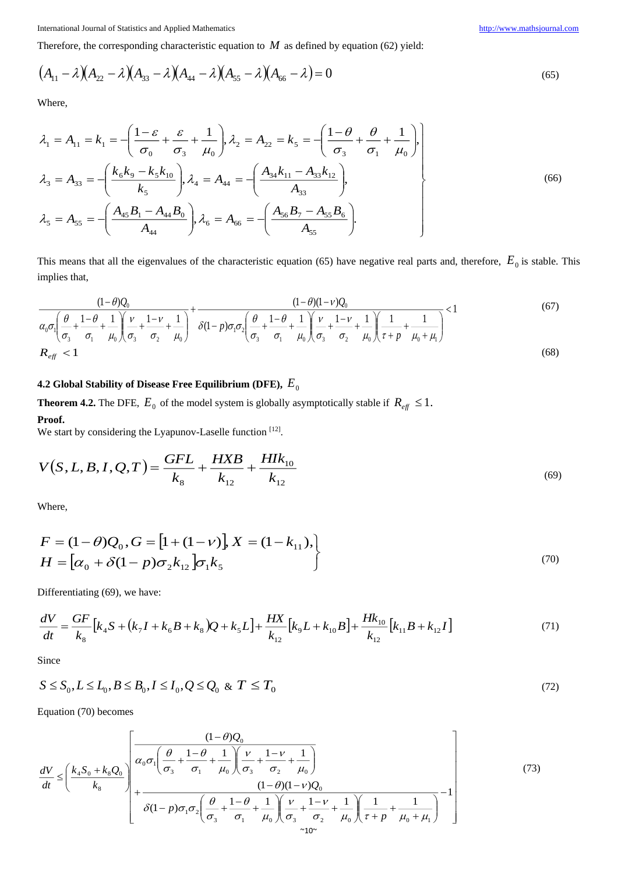Therefore, the corresponding characteristic equation to  $M$  as defined by equation (62) yield:

$$
(A_{11} - \lambda)(A_{22} - \lambda)(A_{33} - \lambda)(A_{44} - \lambda)(A_{55} - \lambda)(A_{66} - \lambda) = 0
$$
\n(65)

Where,

$$
\lambda_1 = A_{11} = k_1 = -\left(\frac{1 - \varepsilon}{\sigma_0} + \frac{\varepsilon}{\sigma_3} + \frac{1}{\mu_0}\right), \lambda_2 = A_{22} = k_5 = -\left(\frac{1 - \theta}{\sigma_3} + \frac{\theta}{\sigma_1} + \frac{1}{\mu_0}\right),
$$
\n
$$
\lambda_3 = A_{33} = -\left(\frac{k_6 k_9 - k_5 k_{10}}{k_5}\right), \lambda_4 = A_{44} = -\left(\frac{A_{34} k_{11} - A_{33} k_{12}}{A_{33}}\right),
$$
\n
$$
\lambda_5 = A_{55} = -\left(\frac{A_{45} B_1 - A_{44} B_0}{A_{44}}\right), \lambda_6 = A_{66} = -\left(\frac{A_{56} B_7 - A_{55} B_6}{A_{55}}\right).
$$
\n(66)

This means that all the eigenvalues of the characteristic equation  $(65)$  have negative real parts and, therefore,  $E_0$  is stable. This implies that,

$$
\frac{(1-\theta)Q_0}{\alpha_0 \sigma_1 \left(\frac{\theta}{\sigma_3} + \frac{1-\theta}{\sigma_1} + \frac{1}{\mu_0}\right) \left(\frac{V}{\sigma_3} + \frac{1-V}{\sigma_2} + \frac{1}{\mu_0}\right)} + \frac{(1-\theta)(1-V)Q_0}{\delta(1-p)\sigma_1 \sigma_2 \left(\frac{\theta}{\sigma_3} + \frac{1-\theta}{\sigma_1} + \frac{1}{\mu_0}\right) \left(\frac{V}{\sigma_3} + \frac{1-V}{\sigma_2} + \frac{1}{\mu_0}\right) \left(\frac{1}{\tau} + \frac{1}{\mu_0} + \frac{1}{\mu_0} + \mu_1\right)} < 1
$$
\n(67)

# **4.2 Global Stability of Disease Free Equilibrium (DFE),**  *E*<sup>0</sup>

**Theorem 4.2.** The DFE,  $E_0$  of the model system is globally asymptotically stable if  $R_{\text{eff}} \leq 1$ .

# **Proof.**

We start by considering the Lyapunov-Laselle function [12].

$$
V(S, L, B, I, Q, T) = \frac{GFL}{k_8} + \frac{HXB}{k_{12}} + \frac{HIk_{10}}{k_{12}}
$$
\n(69)

Where,

$$
F = (1 - \theta)Q_0, G = [1 + (1 - \nu)], X = (1 - k_{11}),
$$
  
\n
$$
H = [\alpha_0 + \delta(1 - p)\sigma_2 k_{12}] \sigma_1 k_5
$$
\n(70)

Differentiating (69), we have:

$$
\frac{dV}{dt} = \frac{GF}{k_8} \left[ k_4 S + (k_7 I + k_6 B + k_8) Q + k_5 L \right] + \frac{HX}{k_{12}} \left[ k_9 L + k_{10} B \right] + \frac{Hk_{10}}{k_{12}} \left[ k_{11} B + k_{12} I \right]
$$
\n(71)

Since

$$
S \le S_0, L \le L_0, B \le B_0, I \le I_0, Q \le Q_0 \& T \le T_0
$$
\n<sup>(72)</sup>

Equation (70) becomes

$$
\frac{dV}{dt} \leq \left(\frac{k_4 S_0 + k_8 Q_0}{k_8}\right) \left(\frac{\frac{(1-\theta)Q_0}{\sigma_3} + \frac{1-\theta}{\sigma_1} + \frac{1}{\mu_0} \left(\frac{\nu}{\sigma_3} + \frac{1-\nu}{\sigma_2} + \frac{1}{\mu_0}\right)}{(1-\theta)(1-\nu)Q_0} + \frac{(1-\theta)(1-\nu)Q_0}{\delta(1-\rho)\sigma_1\sigma_2 \left(\frac{\theta}{\sigma_3} + \frac{1-\theta}{\sigma_1} + \frac{1}{\mu_0}\right) \left(\frac{\nu}{\sigma_3} + \frac{1-\nu}{\sigma_2} + \frac{1}{\mu_0} \left(\frac{1}{\tau + \rho} + \frac{1}{\mu_0 + \mu_1}\right)}\right)^{-1}
$$
\n(73)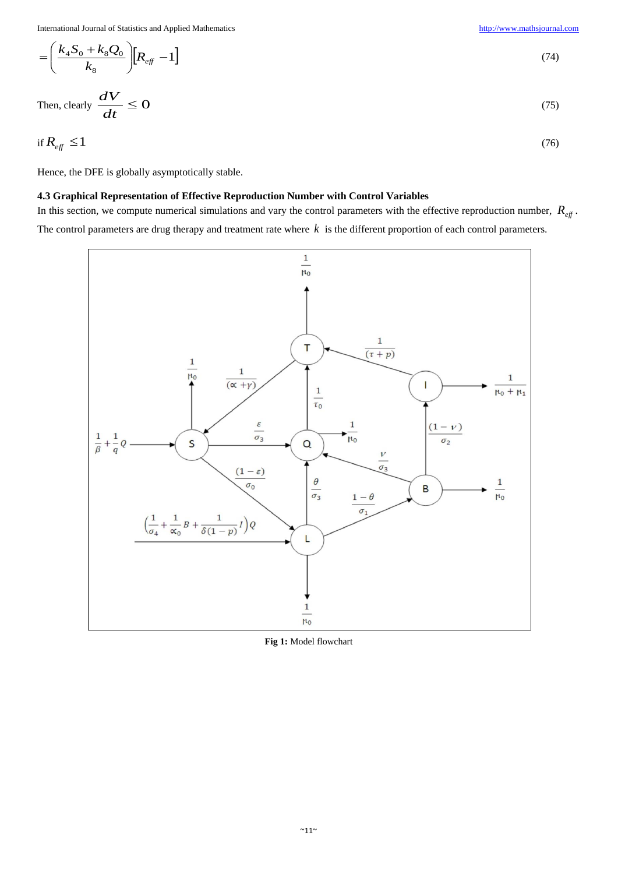$$
= \left(\frac{k_4 S_0 + k_8 Q_0}{k_8}\right) [R_{\text{eff}} - 1] \tag{74}
$$

Then, clearly 
$$
\frac{dV}{dt} \le 0
$$
 (75)

$$
\text{if } R_{\text{eff}} \le 1 \tag{76}
$$

Hence, the DFE is globally asymptotically stable.

# **4.3 Graphical Representation of Effective Reproduction Number with Control Variables**

In this section, we compute numerical simulations and vary the control parameters with the effective reproduction number,  $R_{eff}$ . The control parameters are drug therapy and treatment rate where *k* is the different proportion of each control parameters.



**Fig 1:** Model flowchart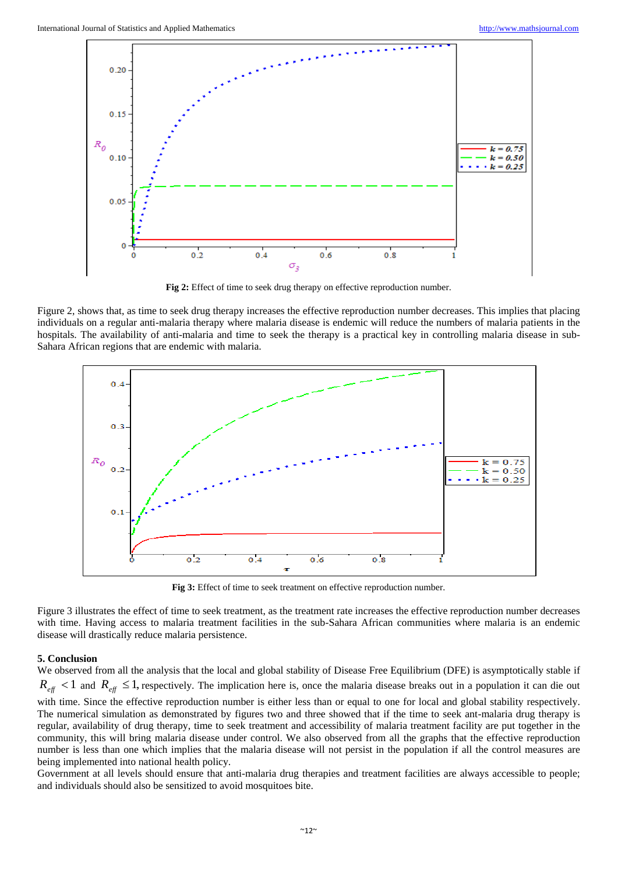

**Fig 2:** Effect of time to seek drug therapy on effective reproduction number.

Figure 2, shows that, as time to seek drug therapy increases the effective reproduction number decreases. This implies that placing individuals on a regular anti-malaria therapy where malaria disease is endemic will reduce the numbers of malaria patients in the hospitals. The availability of anti-malaria and time to seek the therapy is a practical key in controlling malaria disease in sub-Sahara African regions that are endemic with malaria.



**Fig 3:** Effect of time to seek treatment on effective reproduction number.

Figure 3 illustrates the effect of time to seek treatment, as the treatment rate increases the effective reproduction number decreases with time. Having access to malaria treatment facilities in the sub-Sahara African communities where malaria is an endemic disease will drastically reduce malaria persistence.

#### **5. Conclusion**

We observed from all the analysis that the local and global stability of Disease Free Equilibrium (DFE) is asymptotically stable if  $R_{\text{eff}}$  < 1 and  $R_{\text{eff}}$   $\leq$  1, respectively. The implication here is, once the malaria disease breaks out in a population it can die out with time. Since the effective reproduction number is either less than or equal to one for local and global stability respectively. The numerical simulation as demonstrated by figures two and three showed that if the time to seek ant-malaria drug therapy is regular, availability of drug therapy, time to seek treatment and accessibility of malaria treatment facility are put together in the community, this will bring malaria disease under control. We also observed from all the graphs that the effective reproduction number is less than one which implies that the malaria disease will not persist in the population if all the control measures are being implemented into national health policy.

Government at all levels should ensure that anti-malaria drug therapies and treatment facilities are always accessible to people; and individuals should also be sensitized to avoid mosquitoes bite.